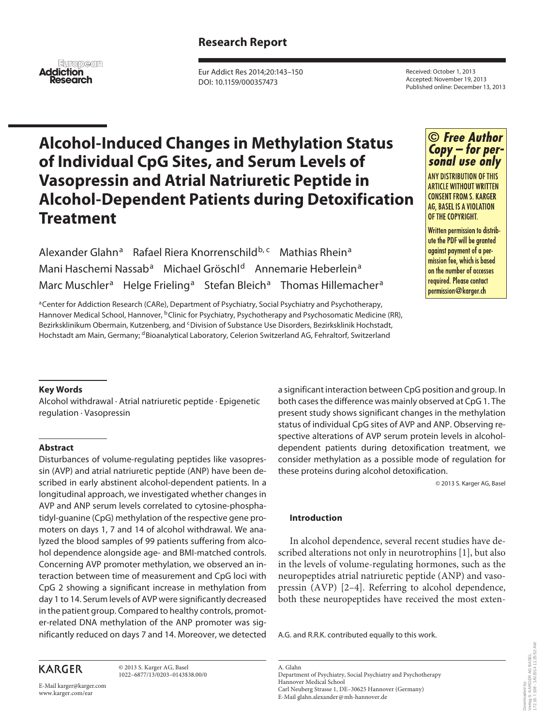# **Research Report**

**European Addiction Research**

 Eur Addict Res 2014;20:143–150 DOI: 10.1159/000357473

 Received: October 1, 2013 Accepted: November 19, 2013 Published online: December 13, 2013

> © Free Author Copy – for per-<br>sonal use only

**ANY DISTRIBUTION OF THIS ARTICLE WITHOUT WRITTEN CONSENT FROM S. KARGER** AG, BASEL IS A VIOLATION OF THE COPYRIGHT. Written permission to distribute the PDF will be granted against payment of a permission fee, which is based on the number of accesses reavired. Please contact permission@karger.ch

# **Alcohol-Induced Changes in Methylation Status of Individual CpG Sites, and Serum Levels of**  *sonal use only* **Vasopressin and Atrial Natriuretic Peptide in Alcohol-Dependent Patients during Detoxification Treatment**  *Copy – for per-*L**ehrine ii**i g Detonii

Alexander Glahn<sup>a</sup> Rafael Riera Knorrenschild<sup>b, c</sup> Mathias Rhein<sup>a</sup> Mani Haschemi Nassab<sup>a</sup> Michael Gröschl<sup>d</sup> Annemarie Heberlein<sup>a</sup> Marc Muschler<sup>a</sup> Helge Frieling<sup>a</sup> Stefan Bleich<sup>a</sup> Thomas Hillemacher<sup>a</sup> mission fee, which is based on the set of the set of the set of the set of the set of the set of the set of the set of the set of the set of the set of the set of the set of the set of the set of the set of the set of the rie Heberlein<sup>a</sup> prias i mi<del>c</del>rik

a Center for Addiction Research (CARe), Department of Psychiatry, Social Psychiatry and Psychotherapy, Hannover Medical School, Hannover, <sup>b</sup> Clinic for Psychiatry, Psychotherapy and Psychosomatic Medicine (RR), Bezirksklinikum Obermain, Kutzenberg, and <sup>c</sup> Division of Substance Use Disorders, Bezirksklinik Hochstadt, Hochstadt am Main, Germany; <sup>d</sup> Bioanalytical Laboratory, Celerion Switzerland AG, Fehraltorf, Switzerland

# **Key Words**

 Alcohol withdrawal · Atrial natriuretic peptide · Epigenetic regulation · Vasopressin

## **Abstract**

 Disturbances of volume-regulating peptides like vasopressin (AVP) and atrial natriuretic peptide (ANP) have been described in early abstinent alcohol-dependent patients. In a longitudinal approach, we investigated whether changes in AVP and ANP serum levels correlated to cytosine-phosphatidyl-guanine (CpG) methylation of the respective gene promoters on days 1, 7 and 14 of alcohol withdrawal. We analyzed the blood samples of 99 patients suffering from alcohol dependence alongside age- and BMI-matched controls. Concerning AVP promoter methylation, we observed an interaction between time of measurement and CpG loci with CpG 2 showing a significant increase in methylation from day 1 to 14. Serum levels of AVP were significantly decreased in the patient group. Compared to healthy controls, promoter-related DNA methylation of the ANP promoter was significantly reduced on days 7 and 14. Moreover, we detected

# **KARGER**

 © 2013 S. Karger AG, Basel 1022–6877/13/0203–0143\$38.00/0

E-Mail karger@karger.com www.karger.com/ear

a significant interaction between CpG position and group. In both cases the difference was mainly observed at CpG 1. The present study shows significant changes in the methylation status of individual CpG sites of AVP and ANP. Observing respective alterations of AVP serum protein levels in alcoholdependent patients during detoxification treatment, we consider methylation as a possible mode of regulation for these proteins during alcohol detoxification.

© 2013 S. Karger AG, Basel

# **Introduction**

 In alcohol dependence, several recent studies have described alterations not only in neurotrophins [1], but also in the levels of volume-regulating hormones, such as the neuropeptides atrial natriuretic peptide (ANP) and vasopressin  $(AVP)$  [2–4]. Referring to alcohol dependence, both these neuropeptides have received the most exten-

A.G. and R.R.K. contributed equally to this work.

 A. Glahn Department of Psychiatry, Social Psychiatry and Psychotherapy Hannover Medical School Carl Neuberg Strasse 1, DE–30625 Hannover (Germany) E-Mail glahn.alexander @ mh-hannover.de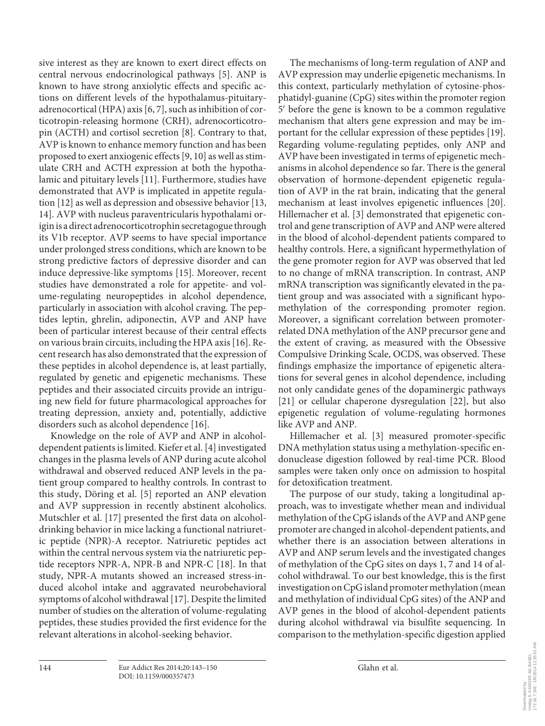sive interest as they are known to exert direct effects on central nervous endocrinological pathways [5]. ANP is known to have strong anxiolytic effects and specific actions on different levels of the hypothalamus-pituitaryadrenocortical (HPA) axis [6, 7] , such as inhibition of corticotropin-releasing hormone (CRH), adrenocorticotropin (ACTH) and cortisol secretion [8]. Contrary to that, AVP is known to enhance memory function and has been proposed to exert anxiogenic effects [9, 10] as well as stimulate CRH and ACTH expression at both the hypothalamic and pituitary levels [11] . Furthermore, studies have demonstrated that AVP is implicated in appetite regulation [12] as well as depression and obsessive behavior [13, 14] . AVP with nucleus paraventricularis hypothalami origin is a direct adrenocorticotrophin secretagogue through its V1b receptor. AVP seems to have special importance under prolonged stress conditions, which are known to be strong predictive factors of depressive disorder and can induce depressive-like symptoms [15]. Moreover, recent studies have demonstrated a role for appetite- and volume-regulating neuropeptides in alcohol dependence, particularly in association with alcohol craving. The peptides leptin, ghrelin, adiponectin, AVP and ANP have been of particular interest because of their central effects on various brain circuits, including the HPA axis [16] . Recent research has also demonstrated that the expression of these peptides in alcohol dependence is, at least partially, regulated by genetic and epigenetic mechanisms. These peptides and their associated circuits provide an intriguing new field for future pharmacological approaches for treating depression, anxiety and, potentially, addictive disorders such as alcohol dependence [16].

 Knowledge on the role of AVP and ANP in alcoholdependent patients is limited. Kiefer et al. [4] investigated changes in the plasma levels of ANP during acute alcohol withdrawal and observed reduced ANP levels in the patient group compared to healthy controls. In contrast to this study, Döring et al. [5] reported an ANP elevation and AVP suppression in recently abstinent alcoholics. Mutschler et al. [17] presented the first data on alcoholdrinking behavior in mice lacking a functional natriuretic peptide (NPR)-A receptor. Natriuretic peptides act within the central nervous system via the natriuretic peptide receptors NPR-A, NPR-B and NPR-C [18]. In that study, NPR-A mutants showed an increased stress-induced alcohol intake and aggravated neurobehavioral symptoms of alcohol withdrawal [17] . Despite the limited number of studies on the alteration of volume-regulating peptides, these studies provided the first evidence for the relevant alterations in alcohol-seeking behavior.

 The mechanisms of long-term regulation of ANP and AVP expression may underlie epigenetic mechanisms. In this context, particularly methylation of cytosine-phosphatidyl-guanine (CpG) sites within the promoter region 5′ before the gene is known to be a common regulative mechanism that alters gene expression and may be important for the cellular expression of these peptides [19] . Regarding volume-regulating peptides, only ANP and AVP have been investigated in terms of epigenetic mechanisms in alcohol dependence so far. There is the general observation of hormone-dependent epigenetic regulation of AVP in the rat brain, indicating that the general mechanism at least involves epigenetic influences [20]. Hillemacher et al. [3] demonstrated that epigenetic control and gene transcription of AVP and ANP were altered in the blood of alcohol-dependent patients compared to healthy controls. Here, a significant hypermethylation of the gene promoter region for AVP was observed that led to no change of mRNA transcription. In contrast, ANP mRNA transcription was significantly elevated in the patient group and was associated with a significant hypomethylation of the corresponding promoter region. Moreover, a significant correlation between promoterrelated DNA methylation of the ANP precursor gene and the extent of craving, as measured with the Obsessive Compulsive Drinking Scale, OCDS, was observed. These findings emphasize the importance of epigenetic alterations for several genes in alcohol dependence, including not only candidate genes of the dopaminergic pathways [21] or cellular chaperone dysregulation [22], but also epigenetic regulation of volume-regulating hormones like AVP and ANP.

 Hillemacher et al. [3] measured promoter-specific DNA methylation status using a methylation-specific endonuclease digestion followed by real-time PCR. Blood samples were taken only once on admission to hospital for detoxification treatment.

 The purpose of our study, taking a longitudinal approach, was to investigate whether mean and individual methylation of the CpG islands of the AVP and ANP gene promoter are changed in alcohol-dependent patients, and whether there is an association between alterations in AVP and ANP serum levels and the investigated changes of methylation of the CpG sites on days 1, 7 and 14 of alcohol withdrawal. To our best knowledge, this is the first investigation on CpG island promoter methylation (mean and methylation of individual CpG sites) of the ANP and AVP genes in the blood of alcohol-dependent patients during alcohol withdrawal via bisulfite sequencing. In comparison to the methylation-specific digestion applied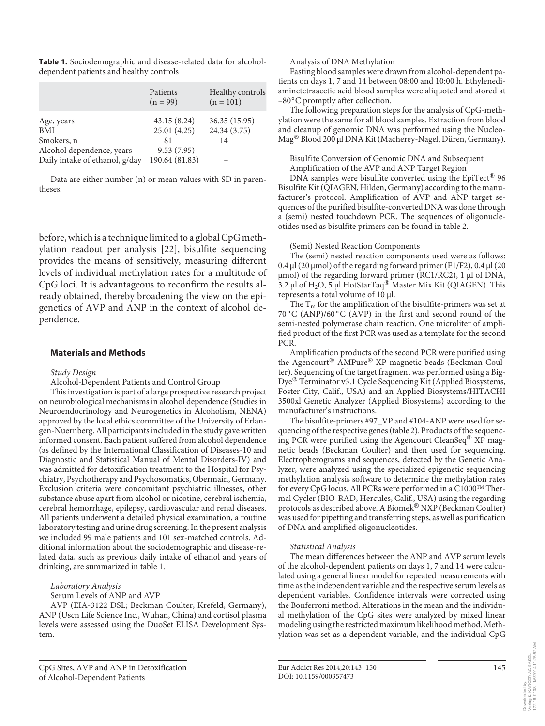|                                                             | Patients<br>$(n = 99)$       | Healthy controls<br>$(n = 101)$ |
|-------------------------------------------------------------|------------------------------|---------------------------------|
| Age, years<br><b>BMI</b>                                    | 43.15(8.24)<br>25.01(4.25)   | 36.35 (15.95)<br>24.34 (3.75)   |
| Smokers, n                                                  | 81                           | 14                              |
| Alcohol dependence, years<br>Daily intake of ethanol, g/day | 9.53(7.95)<br>190.64 (81.83) |                                 |

**Table 1.** Sociodemographic and disease-related data for alcoholdependent patients and healthy controls

 Data are either number (n) or mean values with SD in parentheses.

before, which is a technique limited to a global CpG methylation readout per analysis [22], bisulfite sequencing provides the means of sensitively, measuring different levels of individual methylation rates for a multitude of CpG loci. It is advantageous to reconfirm the results already obtained, thereby broadening the view on the epigenetics of AVP and ANP in the context of alcohol dependence.

### **Materials and Methods**

#### *Study Design*

Alcohol-Dependent Patients and Control Group

 This investigation is part of a large prospective research project on neurobiological mechanisms in alcohol dependence (Studies in Neuroendocrinology and Neurogenetics in Alcoholism, NENA) approved by the local ethics committee of the University of Erlangen-Nuernberg. All participants included in the study gave written informed consent. Each patient suffered from alcohol dependence (as defined by the International Classification of Diseases-10 and Diagnostic and Statistical Manual of Mental Disorders-IV) and was admitted for detoxification treatment to the Hospital for Psychiatry, Psychotherapy and Psychosomatics, Obermain, Germany. Exclusion criteria were concomitant psychiatric illnesses, other substance abuse apart from alcohol or nicotine, cerebral ischemia, cerebral hemorrhage, epilepsy, cardiovascular and renal diseases. All patients underwent a detailed physical examination, a routine laboratory testing and urine drug screening. In the present analysis we included 99 male patients and 101 sex-matched controls. Additional information about the sociodemographic and disease-related data, such as previous daily intake of ethanol and years of drinking, are summarized in table 1.

 *Laboratory Analysis*  Serum Levels of ANP and AVP

 AVP (EIA-3122 DSL; Beckman Coulter, Krefeld, Germany), ANP (Uscn Life Science Inc., Wuhan, China) and cortisol plasma levels were assessed using the DuoSet ELISA Development System.

Analysis of DNA Methylation

 Fasting blood samples were drawn from alcohol-dependent patients on days 1, 7 and 14 between 08:00 and 10:00 h. Ethylenediaminetetraacetic acid blood samples were aliquoted and stored at –80 ° C promptly after collection.

 The following preparation steps for the analysis of CpG-methylation were the same for all blood samples. Extraction from blood and cleanup of genomic DNA was performed using the Nucleo-Mag ® Blood 200 μl DNA Kit (Macherey-Nagel, Düren, Germany).

### Bisulfite Conversion of Genomic DNA and Subsequent Amplification of the AVP and ANP Target Region

DNA samples were bisulfite converted using the EpiTect® 96 Bisulfite Kit (QIAGEN, Hilden, Germany) according to the manufacturer's protocol. Amplification of AVP and ANP target sequences of the purified bisulfite-converted DNA was done through a (semi) nested touchdown PCR. The sequences of oligonucleotides used as bisulfite primers can be found in table 2.

#### (Semi) Nested Reaction Components

 The (semi) nested reaction components used were as follows: 0.4 μl (20 μmol) of the regarding forward primer (F1/F2), 0.4 μl (20 μmol) of the regarding forward primer (RC1/RC2), 1 μl of DNA, 3.2 μl of H<sub>2</sub>O, 5 μl HotStarTaq<sup>®</sup> Master Mix Kit (QIAGEN). This represents a total volume of 10 μl.

The  $T_m$  for the amplification of the bisulfite-primers was set at 70°C (ANP)/60°C (AVP) in the first and second round of the semi-nested polymerase chain reaction. One microliter of amplified product of the first PCR was used as a template for the second PCR.

 Amplification products of the second PCR were purified using the Agencourt<sup>®</sup> AMPure<sup>®</sup> XP magnetic beads (Beckman Coulter). Sequencing of the target fragment was performed using a Big-Dye ® Terminator v3.1 Cycle Sequencing Kit (Applied Biosystems, Foster City, Calif., USA) and an Applied Biosystems/HITACHI 3500xl Genetic Analyzer (Applied Biosystems) according to the manufacturer's instructions.

 The bisulfite-primers #97\_VP and #104-ANP were used for sequencing of the respective genes (table 2). Products of the sequencing PCR were purified using the Agencourt CleanSeq<sup>®</sup> XP magnetic beads (Beckman Coulter) and then used for sequencing. Electropherograms and sequences, detected by the Genetic Analyzer, were analyzed using the specialized epigenetic sequencing methylation analysis software to determine the methylation rates for every CpG locus. All PCRs were performed in a C1000TM Thermal Cycler (BIO-RAD, Hercules, Calif., USA) using the regarding protocols as described above. A Biomek ® NXP (Beckman Coulter) was used for pipetting and transferring steps, as well as purification of DNA and amplified oligonucleotides.

### *Statistical Analysis*

 The mean differences between the ANP and AVP serum levels of the alcohol-dependent patients on days 1, 7 and 14 were calculated using a general linear model for repeated measurements with time as the independent variable and the respective serum levels as dependent variables. Confidence intervals were corrected using the Bonferroni method. Alterations in the mean and the individual methylation of the CpG sites were analyzed by mixed linear modeling using the restricted maximum likelihood method. Methylation was set as a dependent variable, and the individual CpG

 CpG Sites, AVP and ANP in Detoxification of Alcohol-Dependent Patients

)<br>20 Verlag S. KARGER AG BASEL<br>172.16.7.108 - 1/6/2014 11:25:52 AM 172.16.7.108 - 1/6/2014 11:25:52 AMVerlag S. KARGER AG BASEL Downloaded by: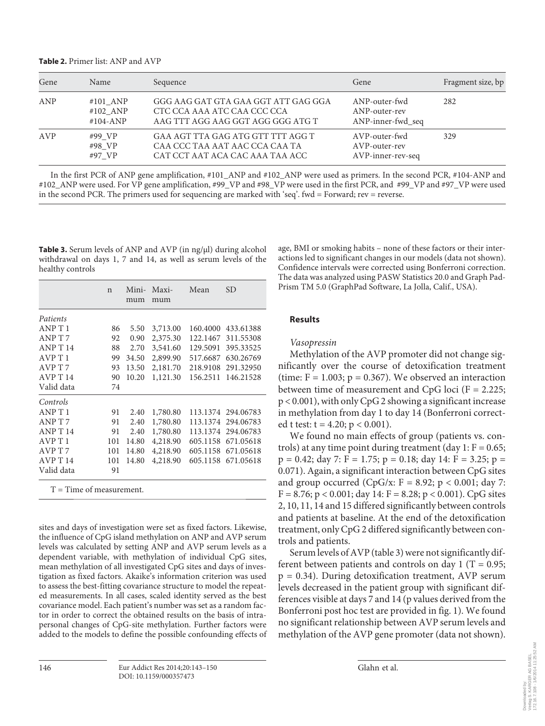**Table 2.** Primer list: ANP and AVP

| Gene | Name                               | Sequence                                                                                                | Gene                                                | Fragment size, bp |
|------|------------------------------------|---------------------------------------------------------------------------------------------------------|-----------------------------------------------------|-------------------|
| ANP  | #101 ANP<br>#102 ANP<br>$#104-AND$ | GGG AAG GAT GTA GAA GGT ATT GAG GGA<br>CTC CCA AAA ATC CAA CCC CCA<br>AAG TTT AGG AAG GGT AGG GGG ATG T | ANP-outer-fwd<br>ANP-outer-rev<br>ANP-inner-fwd_seq | 282               |
| AVP  | #99 VP<br>#98 VP<br>#97 VP         | GAA AGT TTA GAG ATG GTT TTT AGG T<br>CAA CCC TAA AAT AAC CCA CAA TA<br>CAT CCT AAT ACA CAC AAA TAA ACC  | AVP-outer-fwd<br>AVP-outer-rev<br>AVP-inner-rev-seq | 329               |

In the first PCR of ANP gene amplification, #101\_ANP and #102\_ANP were used as primers. In the second PCR, #104-ANP and #102\_ANP were used. For VP gene amplification, #99\_VP and #98\_VP were used in the first PCR, and #99\_VP and #97\_VP were used in the second PCR. The primers used for sequencing are marked with 'seq'. fwd = Forward; rev = reverse.

**Table 3.** Serum levels of ANP and AVP (in ng/μl) during alcohol withdrawal on days 1, 7 and 14, as well as serum levels of the healthy controls

|                            | $\mathbf n$ | Mini-<br>mum | Maxi-<br>mum | Mean     | <b>SD</b>          |  |  |
|----------------------------|-------------|--------------|--------------|----------|--------------------|--|--|
| Patients                   |             |              |              |          |                    |  |  |
| ANPT <sub>1</sub>          | 86          | 5.50         | 3,713.00     | 160.4000 | 433.61388          |  |  |
| ANPT7                      | 92          | 0.90         | 2,375.30     | 122.1467 | 311.55308          |  |  |
| ANDT14                     | 88          | 2.70         | 3,541.60     | 129.5091 | 395.33525          |  |  |
| AVP T <sub>1</sub>         | 99          | 34.50        | 2,899.90     | 517.6687 | 630.26769          |  |  |
| AVP T 7                    | 93          | 13.50        | 2,181.70     | 218.9108 | 291.32950          |  |  |
| AVP T <sub>14</sub>        | 90          | 10.20        | 1,121.30     | 156.2511 | 146.21528          |  |  |
| Valid data                 | 74          |              |              |          |                    |  |  |
| Controls                   |             |              |              |          |                    |  |  |
| ANDT1                      | 91          | 2.40         | 1,780.80     |          | 113.1374 294.06783 |  |  |
| ANP T 7                    | 91          | 2.40         | 1,780.80     | 113.1374 | 294.06783          |  |  |
| ANDT14                     | 91          | 2.40         | 1,780.80     | 113.1374 | 294.06783          |  |  |
| AVPT1                      | 101         | 14.80        | 4,218.90     | 605.1158 | 671.05618          |  |  |
| AVP T 7                    | 101         | 14.80        | 4,218.90     | 605.1158 | 671.05618          |  |  |
| AVPT14                     | 101         | 14.80        | 4,218.90     | 605.1158 | 671.05618          |  |  |
| Valid data                 | 91          |              |              |          |                    |  |  |
| $T =$ Time of measurement. |             |              |              |          |                    |  |  |

sites and days of investigation were set as fixed factors. Likewise, the influence of CpG island methylation on ANP and AVP serum levels was calculated by setting ANP and AVP serum levels as a dependent variable, with methylation of individual CpG sites, mean methylation of all investigated CpG sites and days of investigation as fixed factors. Akaike's information criterion was used to assess the best-fitting covariance structure to model the repeated measurements. In all cases, scaled identity served as the best covariance model. Each patient's number was set as a random factor in order to correct the obtained results on the basis of intrapersonal changes of CpG-site methylation. Further factors were added to the models to define the possible confounding effects of age, BMI or smoking habits – none of these factors or their interactions led to significant changes in our models (data not shown). Confidence intervals were corrected using Bonferroni correction. The data was analyzed using PASW Statistics 20.0 and Graph Pad-Prism TM 5.0 (GraphPad Software, La Jolla, Calif., USA).

# **Results**

# *Vasopressin*

 Methylation of the AVP promoter did not change significantly over the course of detoxification treatment (time:  $F = 1.003$ ;  $p = 0.367$ ). We observed an interaction between time of measurement and  $CpG$  loci (F = 2.225; p < 0.001), with only CpG 2 showing a significant increase in methylation from day 1 to day 14 (Bonferroni corrected t test:  $t = 4.20$ ;  $p < 0.001$ ).

 We found no main effects of group (patients vs. controls) at any time point during treatment (day  $1: F = 0.65$ ;  $p = 0.42$ ; day 7: F = 1.75; p = 0.18; day 14: F = 3.25; p = 0.071). Again, a significant interaction between CpG sites and group occurred (CpG/x:  $F = 8.92$ ;  $p < 0.001$ ; day 7:  $F = 8.76$ ;  $p < 0.001$ ; day 14:  $F = 8.28$ ;  $p < 0.001$ ). CpG sites 2, 10, 11, 14 and 15 differed significantly between controls and patients at baseline. At the end of the detoxification treatment, only CpG 2 differed significantly between controls and patients.

Serum levels of AVP (table 3) were not significantly different between patients and controls on day 1 ( $T = 0.95$ ; p = 0.34). During detoxification treatment, AVP serum levels decreased in the patient group with significant differences visible at days 7 and 14 (p values derived from the Bonferroni post hoc test are provided in fig. 1). We found no significant relationship between AVP serum levels and methylation of the AVP gene promoter (data not shown).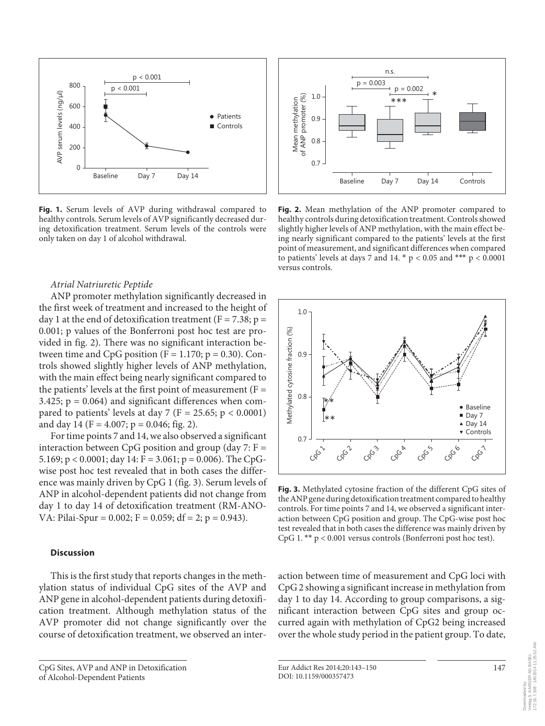

**Fig. 1.** Serum levels of AVP during withdrawal compared to healthy controls. Serum levels of AVP significantly decreased during detoxification treatment. Serum levels of the controls were only taken on day 1 of alcohol withdrawal.

## *Atrial Natriuretic Peptide*

 ANP promoter methylation significantly decreased in the first week of treatment and increased to the height of day 1 at the end of detoxification treatment ( $F = 7.38$ ; p = 0.001; p values of the Bonferroni post hoc test are provided in fig. 2). There was no significant interaction between time and CpG position ( $F = 1.170$ ;  $p = 0.30$ ). Controls showed slightly higher levels of ANP methylation, with the main effect being nearly significant compared to the patients' levels at the first point of measurement ( $F =$ 3.425;  $p = 0.064$ ) and significant differences when compared to patients' levels at day 7 ( $F = 25.65$ ;  $p < 0.0001$ ) and day 14 (F = 4.007; p = 0.046; fig. 2).

 For time points 7 and 14, we also observed a significant interaction between CpG position and group (day  $7: F =$ 5.169;  $p < 0.0001$ ; day 14:  $F = 3.061$ ;  $p = 0.006$ ). The CpGwise post hoc test revealed that in both cases the difference was mainly driven by CpG 1 (fig. 3). Serum levels of ANP in alcohol-dependent patients did not change from day 1 to day 14 of detoxification treatment (RM-ANO-VA: Pilai-Spur =  $0.002$ ; F =  $0.059$ ; df =  $2$ ; p =  $0.943$ ).

## **Discussion**

 This is the first study that reports changes in the methylation status of individual CpG sites of the AVP and ANP gene in alcohol-dependent patients during detoxification treatment. Although methylation status of the AVP promoter did not change significantly over the course of detoxification treatment, we observed an inter-

 CpG Sites, AVP and ANP in Detoxification of Alcohol-Dependent Patients



**Fig. 2.** Mean methylation of the ANP promoter compared to healthy controls during detoxification treatment. Controls showed slightly higher levels of ANP methylation, with the main effect being nearly significant compared to the patients' levels at the first point of measurement, and significant differences when compared to patients' levels at days 7 and 14.  $* p < 0.05$  and  $*** p < 0.0001$ versus controls.



**Fig. 3.** Methylated cytosine fraction of the different CpG sites of the ANP gene during detoxification treatment compared to healthy controls. For time points 7 and 14, we observed a significant interaction between CpG position and group. The CpG-wise post hoc test revealed that in both cases the difference was mainly driven by CpG 1. \*\* p < 0.001 versus controls (Bonferroni post hoc test).

action between time of measurement and CpG loci with CpG 2 showing a significant increase in methylation from day 1 to day 14. According to group comparisons, a significant interaction between CpG sites and group occurred again with methylation of CpG2 being increased over the whole study period in the patient group. To date,

Downloaded by: Verlag S. KARGER AG BASEL 172.16.7.108 - 1/6/2014 11:25:52 AM

Downloaded by:<br>Verlag S. KARGER AG BASEL<br>172.16.7.108 - 1/6/2014 11:25:52 AM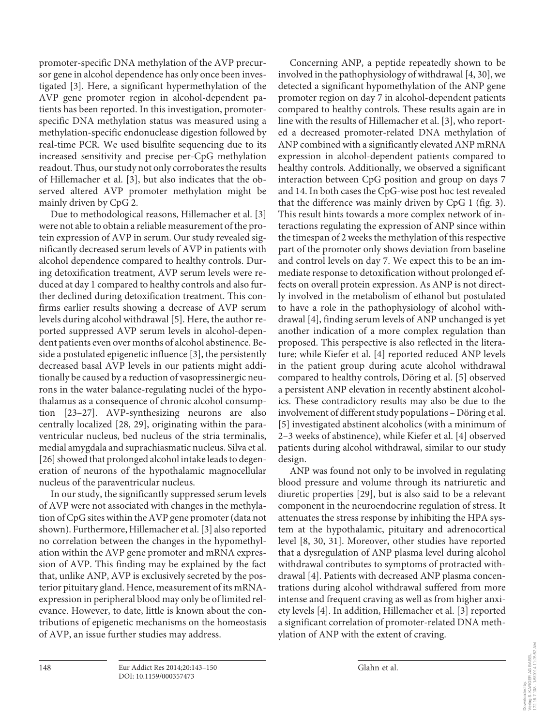promoter-specific DNA methylation of the AVP precursor gene in alcohol dependence has only once been investigated [3]. Here, a significant hypermethylation of the AVP gene promoter region in alcohol-dependent patients has been reported. In this investigation, promoterspecific DNA methylation status was measured using a methylation-specific endonuclease digestion followed by real-time PCR. We used bisulfite sequencing due to its increased sensitivity and precise per-CpG methylation readout. Thus, our study not only corroborates the results of Hillemacher et al. [3], but also indicates that the observed altered AVP promoter methylation might be mainly driven by CpG 2.

 Due to methodological reasons, Hillemacher et al. [3] were not able to obtain a reliable measurement of the protein expression of AVP in serum. Our study revealed significantly decreased serum levels of AVP in patients with alcohol dependence compared to healthy controls. During detoxification treatment, AVP serum levels were reduced at day 1 compared to healthy controls and also further declined during detoxification treatment. This confirms earlier results showing a decrease of AVP serum levels during alcohol withdrawal [5]. Here, the author reported suppressed AVP serum levels in alcohol-dependent patients even over months of alcohol abstinence. Beside a postulated epigenetic influence [3], the persistently decreased basal AVP levels in our patients might additionally be caused by a reduction of vasopressinergic neurons in the water balance-regulating nuclei of the hypothalamus as a consequence of chronic alcohol consumption [23-27]. AVP-synthesizing neurons are also centrally localized [28, 29], originating within the paraventricular nucleus, bed nucleus of the stria terminalis, medial amygdala and suprachiasmatic nucleus. Silva et al. [26] showed that prolonged alcohol intake leads to degeneration of neurons of the hypothalamic magnocellular nucleus of the paraventricular nucleus.

 In our study, the significantly suppressed serum levels of AVP were not associated with changes in the methylation of CpG sites within the AVP gene promoter (data not shown). Furthermore, Hillemacher et al. [3] also reported no correlation between the changes in the hypomethylation within the AVP gene promoter and mRNA expression of AVP. This finding may be explained by the fact that, unlike ANP, AVP is exclusively secreted by the posterior pituitary gland. Hence, measurement of its mRNAexpression in peripheral blood may only be of limited relevance. However, to date, little is known about the contributions of epigenetic mechanisms on the homeostasis of AVP, an issue further studies may address.

 Concerning ANP, a peptide repeatedly shown to be involved in the pathophysiology of withdrawal [4, 30], we detected a significant hypomethylation of the ANP gene promoter region on day 7 in alcohol-dependent patients compared to healthy controls. These results again are in line with the results of Hillemacher et al. [3], who reported a decreased promoter-related DNA methylation of ANP combined with a significantly elevated ANP mRNA expression in alcohol-dependent patients compared to healthy controls. Additionally, we observed a significant interaction between CpG position and group on days 7 and 14. In both cases the CpG-wise post hoc test revealed that the difference was mainly driven by CpG 1 (fig. 3). This result hints towards a more complex network of interactions regulating the expression of ANP since within the timespan of 2 weeks the methylation of this respective part of the promoter only shows deviation from baseline and control levels on day 7. We expect this to be an immediate response to detoxification without prolonged effects on overall protein expression. As ANP is not directly involved in the metabolism of ethanol but postulated to have a role in the pathophysiology of alcohol withdrawal [4], finding serum levels of ANP unchanged is yet another indication of a more complex regulation than proposed. This perspective is also reflected in the literature; while Kiefer et al. [4] reported reduced ANP levels in the patient group during acute alcohol withdrawal compared to healthy controls, Döring et al. [5] observed a persistent ANP elevation in recently abstinent alcoholics. These contradictory results may also be due to the involvement of different study populations – Döring et al. [5] investigated abstinent alcoholics (with a minimum of 2–3 weeks of abstinence), while Kiefer et al. [4] observed patients during alcohol withdrawal, similar to our study design.

 ANP was found not only to be involved in regulating blood pressure and volume through its natriuretic and diuretic properties [29], but is also said to be a relevant component in the neuroendocrine regulation of stress. It attenuates the stress response by inhibiting the HPA system at the hypothalamic, pituitary and adrenocortical level [8, 30, 31]. Moreover, other studies have reported that a dysregulation of ANP plasma level during alcohol withdrawal contributes to symptoms of protracted withdrawal [4]. Patients with decreased ANP plasma concentrations during alcohol withdrawal suffered from more intense and frequent craving as well as from higher anxiety levels [4]. In addition, Hillemacher et al. [3] reported a significant correlation of promoter-related DNA methylation of ANP with the extent of craving.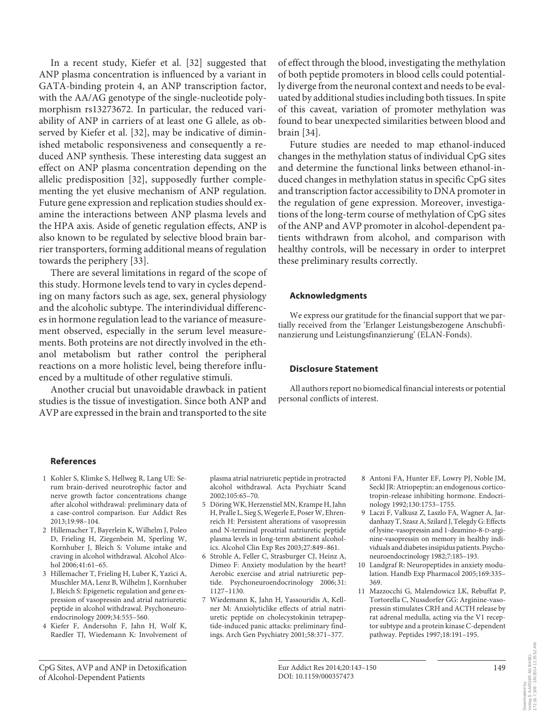In a recent study, Kiefer et al. [32] suggested that ANP plasma concentration is influenced by a variant in GATA-binding protein 4, an ANP transcription factor, with the AA/AG genotype of the single-nucleotide polymorphism rs13273672. In particular, the reduced variability of ANP in carriers of at least one G allele, as observed by Kiefer et al. [32], may be indicative of diminished metabolic responsiveness and consequently a reduced ANP synthesis. These interesting data suggest an effect on ANP plasma concentration depending on the allelic predisposition [32], supposedly further complementing the yet elusive mechanism of ANP regulation. Future gene expression and replication studies should examine the interactions between ANP plasma levels and the HPA axis. Aside of genetic regulation effects, ANP is also known to be regulated by selective blood brain barrier transporters, forming additional means of regulation towards the periphery [33] .

 There are several limitations in regard of the scope of this study. Hormone levels tend to vary in cycles depending on many factors such as age, sex, general physiology and the alcoholic subtype. The interindividual differences in hormone regulation lead to the variance of measurement observed, especially in the serum level measurements. Both proteins are not directly involved in the ethanol metabolism but rather control the peripheral reactions on a more holistic level, being therefore influenced by a multitude of other regulative stimuli.

 Another crucial but unavoidable drawback in patient studies is the tissue of investigation. Since both ANP and AVP are expressed in the brain and transported to the site

of effect through the blood, investigating the methylation of both peptide promoters in blood cells could potentially diverge from the neuronal context and needs to be evaluated by additional studies including both tissues. In spite of this caveat, variation of promoter methylation was found to bear unexpected similarities between blood and brain [34] .

 Future studies are needed to map ethanol-induced changes in the methylation status of individual CpG sites and determine the functional links between ethanol-induced changes in methylation status in specific CpG sites and transcription factor accessibility to DNA promoter in the regulation of gene expression. Moreover, investigations of the long-term course of methylation of CpG sites of the ANP and AVP promoter in alcohol-dependent patients withdrawn from alcohol, and comparison with healthy controls, will be necessary in order to interpret these preliminary results correctly.

## **Acknowledgments**

 We express our gratitude for the financial support that we partially received from the 'Erlanger Leistungsbezogene Anschubfinanzierung und Leistungsfinanzierung' (ELAN-Fonds).

### **Disclosure Statement**

 All authors report no biomedical financial interests or potential personal conflicts of interest.

### **References**

- 1 Kohler S, Klimke S, Hellweg R, Lang UE: Serum brain-derived neurotrophic factor and nerve growth factor concentrations change after alcohol withdrawal: preliminary data of a case-control comparison. Eur Addict Res 2013;19:98–104.
- 2 Hillemacher T, Bayerlein K, Wilhelm J, Poleo D, Frieling H, Ziegenbein M, Sperling W, Kornhuber J, Bleich S: Volume intake and craving in alcohol withdrawal. Alcohol Alcohol 2006;41:61–65.
- 3 Hillemacher T, Frieling H, Luber K, Yazici A, Muschler MA, Lenz B, Wilhelm J, Kornhuber J, Bleich S: Epigenetic regulation and gene expression of vasopressin and atrial natriuretic peptide in alcohol withdrawal. Psychoneuroendocrinology 2009;34:555–560.
- 4 Kiefer F, Andersohn F, Jahn H, Wolf K, Raedler TJ, Wiedemann K: Involvement of

plasma atrial natriuretic peptide in protracted alcohol withdrawal. Acta Psychiatr Scand 2002;105:65–70.

- 5 Döring WK, Herzenstiel MN, Krampe H, Jahn H, Pralle L, Sieg S, Wegerle E, Poser W, Ehrenreich H: Persistent alterations of vasopressin and N-terminal proatrial natriuretic peptide plasma levels in long-term abstinent alcoholics. Alcohol Clin Exp Res 2003;27:849–861.
- 6 Strohle A, Feller C, Strasburger CJ, Heinz A, Dimeo F: Anxiety modulation by the heart? Aerobic exercise and atrial natriuretic peptide. Psychoneuroendocrinology 2006; 31: 1127–1130.
- 7 Wiedemann K, Jahn H, Yassouridis A, Kellner M: Anxiolyticlike effects of atrial natriuretic peptide on cholecystokinin tetrapeptide-induced panic attacks: preliminary findings. Arch Gen Psychiatry 2001;58:371–377.
- 8 Antoni FA, Hunter EF, Lowry PJ, Noble JM, Seckl JR: Atriopeptin: an endogenous corticotropin-release inhibiting hormone. Endocrinology 1992;130:1753–1755.
- 9 Laczi F, Valkusz Z, Laszlo FA, Wagner A, Jardanhazy T, Szasz A, Szilard J, Telegdy G: Effects of lysine-vasopressin and 1-deamino-8- D -arginine-vasopressin on memory in healthy individuals and diabetes insipidus patients. Psychoneuroendocrinology 1982;7:185–193.
- 10 Landgraf R: Neuropeptides in anxiety modulation. Handb Exp Pharmacol 2005;169:335– 369.
- 11 Mazzocchi G, Malendowicz LK, Rebuffat P, Tortorella C, Nussdorfer GG: Arginine-vasopressin stimulates CRH and ACTH release by rat adrenal medulla, acting via the V1 receptor subtype and a protein kinase C-dependent pathway. Peptides 1997;18:191–195.

 CpG Sites, AVP and ANP in Detoxification of Alcohol-Dependent Patients